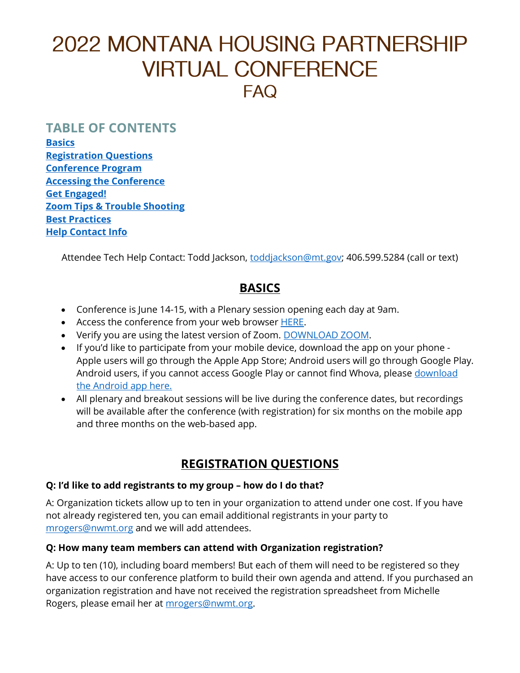# **2022 MONTANA HOUSING PARTNERSHIP VIRTUAL CONFERENCE**  $FAO$

### **TABLE OF CONTENTS**

**[Basics](#page-0-0) [Registration Questions](#page-0-1) [Conference Program](#page-1-0) [Accessing the Conference](#page-1-1) [Get Engaged!](#page-2-0) Zoom Tips [& Trouble Shooting](#page-2-1) [Best Practices](#page-3-0) [Help Contact Info](#page-3-1)**

<span id="page-0-0"></span>Attendee Tech Help Contact: Todd Jackson, [toddjackson@mt.gov;](mailto:toddjackson@mt.gov) 406.599.5284 (call or text)

## **BASICS**

- Conference is June 14-15, with a Plenary session opening each day at 9am.
- Access the conference from your web browser [HERE.](https://whova.com/portal/webapp/mhpc_202205/sign_in/)
- Verify you are using the latest version of Zoom. [DOWNLOAD ZOOM.](https://zoom.us/)
- If you'd like to participate from your mobile device, download the app on your phone Apple users will go through the Apple App Store; Android users will go through Google Play. Android users, if you cannot access Google Play or cannot find Whova, please download [the Android app here.](https://whova.com/portal/mhpc_202205/)
- All plenary and breakout sessions will be live during the conference dates, but recordings will be available after the conference (with registration) for six months on the mobile app and three months on the web-based app.

# **REGISTRATION QUESTIONS**

#### <span id="page-0-1"></span>**Q: I'd like to add registrants to my group – how do I do that?**

A: Organization tickets allow up to ten in your organization to attend under one cost. If you have not already registered ten, you can email additional registrants in your party to [mrogers@nwmt.org](mailto:mrogers@nwmt.org) and we will add attendees.

#### **Q: How many team members can attend with Organization registration?**

A: Up to ten (10), including board members! But each of them will need to be registered so they have access to our conference platform to build their own agenda and attend. If you purchased an organization registration and have not received the registration spreadsheet from Michelle Rogers, please email her at [mrogers@nwmt.org.](mailto:mrogers@nwmt.org)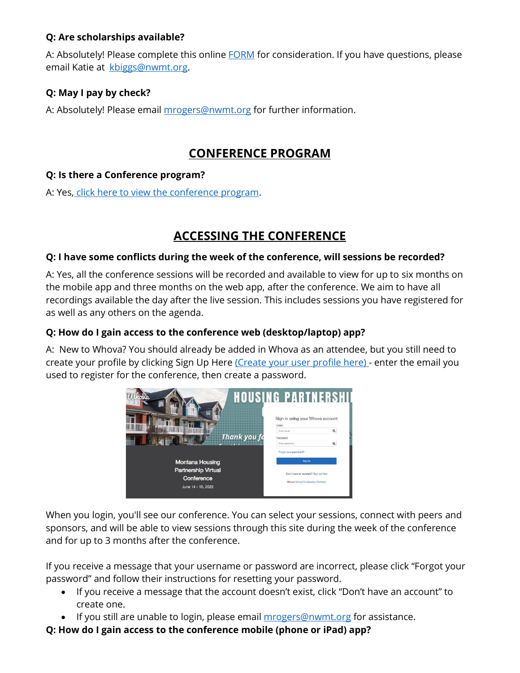#### **Q: Are scholarships available?**

A: Absolutely! Please complete this online **FORM** for consideration. If you have questions, please email Katie at kbiggs@nwmt.org.

#### **Q: May I pay by check?**

A: Absolutely! Please email mrogers@nwmt.org for further information.

## **CONFERENCE PROGRAM**

#### <span id="page-1-0"></span>**Q: Is there a Conference program?**

<span id="page-1-1"></span>A: Yes, click here to view the conference program.

# **ACCESSING THE CONFERENCE**

#### **Q: I have some conflicts during the week of the conference, will sessions be recorded?**

A: Yes, all the conference sessions will be recorded and available to view for up to six months on the mobile app and three months on the web app, after the conference. We aim to have all recordings available the day after the live session. This includes sessions you have registered for as well as any others on the agenda.

#### **Q: How do I gain access to the conference web (desktop/laptop) app?**

A: New to Whova? You should already be added in Whova as an attendee, but you still need to create your profile by clicking Sign Up Here (Create your user profile here) - enter the email you used to register for the conference, then create a password.



When you login, you'll see our conference. You can select your sessions, connect with peers and sponsors, and will be able to view sessions through this site during the week of the conference and for up to 3 months after the conference.

If you receive a message that your username or password are incorrect, please click "Forgot your password" and follow their instructions for resetting your password.

- If you receive a message that the account doesn't exist, click "Don't have an account" to create one.
- If you still are unable to login, please email mrogers@nwmt.org for assistance.
- **Q: How do I gain access to the conference mobile (phone or iPad) app?**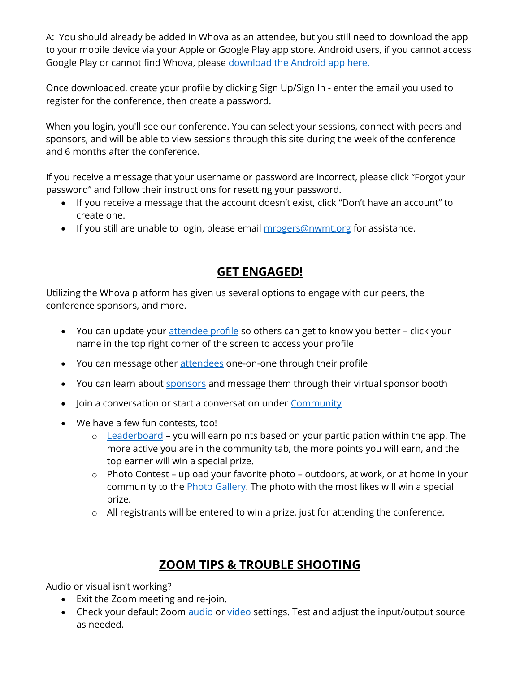A: You should already be added in Whova as an attendee, but you still need to download the app to your mobile device via your Apple or Google Play app store. Android users, if you cannot access Google Play or cannot find Whova, please [download the Android app here.](https://whova.com/portal/mhpc_202205/)

Once downloaded, create your profile by clicking Sign Up/Sign In - enter the email you used to register for the conference, then create a password.

When you login, you'll see our conference. You can select your sessions, connect with peers and sponsors, and will be able to view sessions through this site during the week of the conference and 6 months after the conference.

If you receive a message that your username or password are incorrect, please click "Forgot your password" and follow their instructions for resetting your password.

- If you receive a message that the account doesn't exist, click "Don't have an account" to create one.
- <span id="page-2-0"></span>• If you still are unable to login, please email *mrogers@nwmt.org* for assistance.

## **GET ENGAGED!**

Utilizing the Whova platform has given us several options to engage with our peers, the conference sponsors, and more.

- You can update your [attendee profile](https://whova.com/portal/webapp/mhpc_202205/Attendees) so others can get to know you better click your name in the top right corner of the screen to access your profile
- You can message other [attendees](https://whova.com/portal/webapp/mhpc_202205/Attendees/All) one-on-one through their profile
- You can learn about [sponsors](https://whova.com/portal/webapp/mhpc_202205/Sponsors) and message them through their virtual sponsor booth
- Join a conversation or start a conversation under [Community](https://whova.com/portal/webapp/mhpc_202205/CommunityBoard)
- We have a few fun contests, too!
	- $\circ$  [Leaderboard](https://whova.com/portal/webapp/mhpc_202205/Leaderboard) you will earn points based on your participation within the app. The more active you are in the community tab, the more points you will earn, and the top earner will win a special prize.
	- o Photo Contest upload your favorite photo outdoors, at work, or at home in your community to the [Photo Gallery.](https://whova.com/portal/webapp/mhpc_202205/PhotoGallery) The photo with the most likes will win a special prize.
	- o All registrants will be entered to win a prize, just for attending the conference.

# **ZOOM TIPS & TROUBLE SHOOTING**

<span id="page-2-1"></span>Audio or visual isn't working?

- Exit the Zoom meeting and re-join.
- Check your default Zoom [audio](https://support.zoom.us/hc/en-us/articles/201362283-Testing-computer-or-device-audio) or [video](https://support.zoom.us/hc/en-us/articles/201362313-How-do-I-test-my-video-) settings. Test and adjust the input/output source as needed.